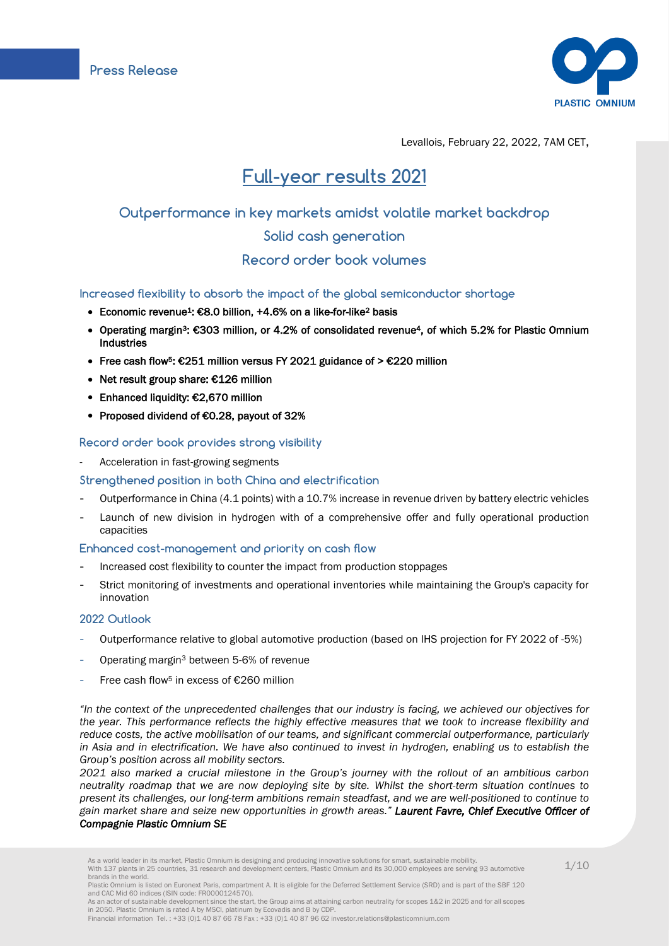

Levallois, February 22, 2022, 7AM CET,

# Full-year results 2021

## Outperformance in key markets amidst volatile market backdrop

## Solid cash generation

## Record order book volumes

## Increased flexibility to absorb the impact of the global semiconductor shortage

- Economic revenue1: €8.0 billion, +4.6% on a like-for-like2 basis
- Operating margin<sup>3</sup>: €303 million, or 4.2% of consolidated revenue<sup>4</sup>, of which 5.2% for Plastic Omnium Industries
- Free cash flow<sup>5</sup>: €251 million versus FY 2021 guidance of > €220 million
- Net result group share: €126 million
- Enhanced liquidity: €2,670 million
- Proposed dividend of €0.28, payout of 32%

## Record order book provides strong visibility

- Acceleration in fast-growing segments

## Strengthened position in both China and electrification

- Outperformance in China (4.1 points) with a 10.7% increase in revenue driven by battery electric vehicles
- Launch of new division in hydrogen with of a comprehensive offer and fully operational production capacities

#### Enhanced cost-management and priority on cash flow

- Increased cost flexibility to counter the impact from production stoppages
- Strict monitoring of investments and operational inventories while maintaining the Group's capacity for innovation

## 2022 Outlook

- Outperformance relative to global automotive production (based on IHS projection for FY 2022 of -5%)
- Operating margin<sup>3</sup> between 5-6% of revenue
- Free cash flow<sup>5</sup> in excess of  $£260$  million

*"In the context of the unprecedented challenges that our industry is facing, we achieved our objectives for the year. This performance reflects the highly effective measures that we took to increase flexibility and reduce costs, the active mobilisation of our teams, and significant commercial outperformance, particularly in Asia and in electrification. We have also continued to invest in hydrogen, enabling us to establish the Group's position across all mobility sectors.*

*2021 also marked a crucial milestone in the Group's journey with the rollout of an ambitious carbon neutrality roadmap that we are now deploying site by site. Whilst the short-term situation continues to present its challenges, our long-term ambitions remain steadfast, and we are well-positioned to continue to gain market share and seize new opportunities in growth areas." Laurent Favre, Chief Executive Officer of Compagnie Plastic Omnium SE* 

As a world leader in its market, Plastic Omnium is designing and producing innovative solutions for smart, sustainable mobility.<br>With 137 plants in 25 countries, 31 research and development centers, Plastic Omnium and its brands in the world.

Plastic Omnium is listed on Euronext Paris, compartment A. It is eligible for the Deferred Settlement Service (SRD) and is part of the SBF 120 and CAC Mid 60 indices (ISIN code: FR0000124570). As an actor of sustainable development since the start, the Group aims at attaining carbon neutrality for scopes 1&2 in 2025 and for all scopes

in 2050. Plastic Omnium is rated A by MSCI, platinum by Ecovadis and B by CDP. Financial information Tel. : +33 (0)1 40 87 66 78 Fax : +33 (0)1 40 87 96 62 investor.relations@plasticomnium.com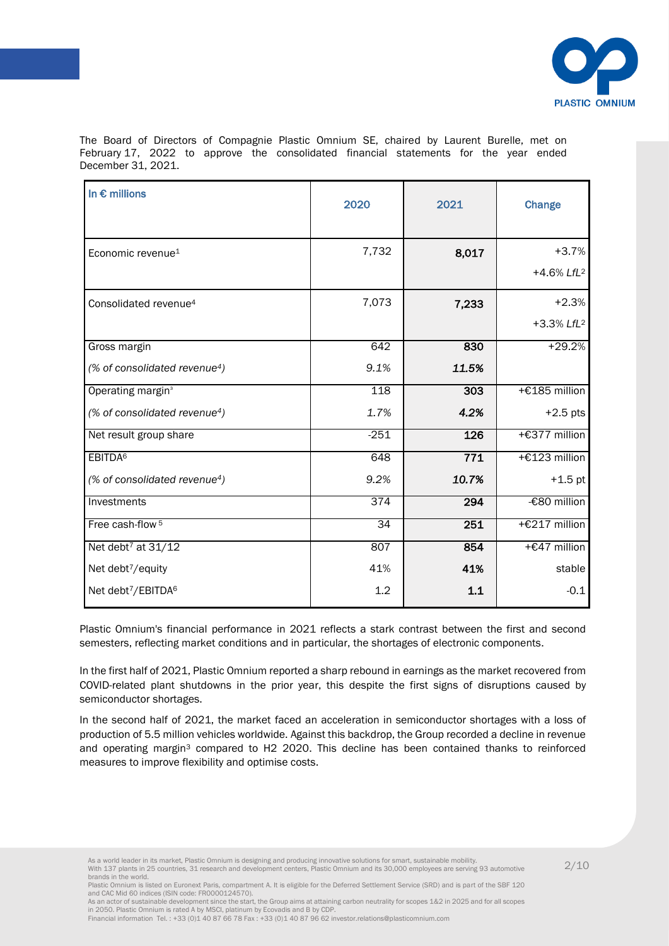

The Board of Directors of Compagnie Plastic Omnium SE, chaired by Laurent Burelle, met on February 17, 2022 to approve the consolidated financial statements for the year ended December 31, 2021.

| In $\epsilon$ millions                    | 2020             | 2021  | Change                    |  |
|-------------------------------------------|------------------|-------|---------------------------|--|
| Economic revenue <sup>1</sup>             | 7,732            | 8,017 | $+3.7%$                   |  |
|                                           |                  |       | $+4.6\%$ LfL <sup>2</sup> |  |
| Consolidated revenue <sup>4</sup>         | 7,073            | 7,233 | $+2.3%$                   |  |
|                                           |                  |       | $+3.3\%$ LfL <sup>2</sup> |  |
| Gross margin                              | 642              | 830   | $+29.2%$                  |  |
| (% of consolidated revenue <sup>4</sup> ) | 9.1%             | 11.5% |                           |  |
| Operating margin <sup>3</sup>             | 118              | 303   | +€185 million             |  |
| (% of consolidated revenue <sup>4</sup> ) | 1.7%             | 4.2%  | $+2.5$ pts                |  |
| Net result group share                    | $-251$           | 126   | +€377 million             |  |
| EBITDA <sup>6</sup>                       | 648              | 771   | +€123 million             |  |
| (% of consolidated revenue <sup>4</sup> ) | 9.2%             | 10.7% | $+1.5$ pt                 |  |
| Investments                               | $\overline{374}$ | 294   | -€80 million              |  |
| Free cash-flow <sup>5</sup>               | $\overline{34}$  | 251   | +€217 million             |  |
| Net debt <sup>7</sup> at 31/12            | 807              | 854   | +€47 million              |  |
| Net debt7/equity                          | 41%              | 41%   | stable                    |  |
| Net debt7/EBITDA <sup>6</sup>             | 1.2              | $1.1$ | $-0.1$                    |  |

Plastic Omnium's financial performance in 2021 reflects a stark contrast between the first and second semesters, reflecting market conditions and in particular, the shortages of electronic components.

In the first half of 2021, Plastic Omnium reported a sharp rebound in earnings as the market recovered from COVID-related plant shutdowns in the prior year, this despite the first signs of disruptions caused by semiconductor shortages.

In the second half of 2021, the market faced an acceleration in semiconductor shortages with a loss of production of 5.5 million vehicles worldwide. Against this backdrop, the Group recorded a decline in revenue and operating margin<sup>3</sup> compared to H2 2020. This decline has been contained thanks to reinforced measures to improve flexibility and optimise costs.

Plastic Omnium is listed on Euronext Paris, compartment A. It is eligible for the Deferred Settlement Service (SRD) and is part of the SBF 120 and CAC Mid 60 indices (ISIN code: FR0000124570). As an actor of sustainable development since the start, the Group aims at attaining carbon neutrality for scopes 1&2 in 2025 and for all scopes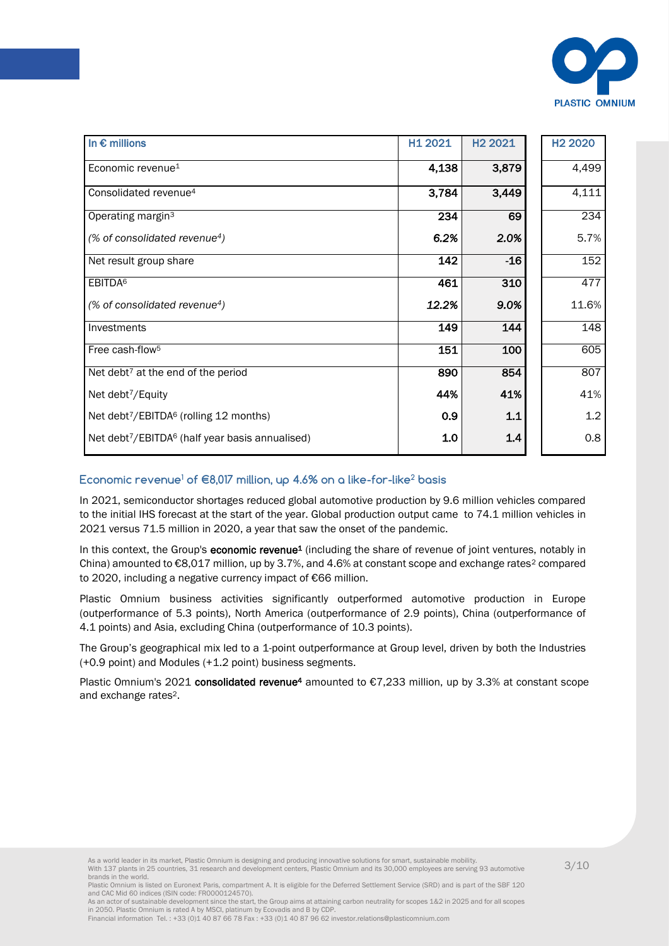

| In $\epsilon$ millions                                         | H1 2021 | H <sub>2</sub> 2021 | H <sub>2</sub> 2020 |
|----------------------------------------------------------------|---------|---------------------|---------------------|
| Economic revenue <sup>1</sup>                                  | 4,138   | 3,879               | 4,499               |
| Consolidated revenue <sup>4</sup>                              | 3,784   | 3,449               | 4,111               |
| Operating margin <sup>3</sup>                                  | 234     | 69                  | 234                 |
| (% of consolidated revenue <sup>4</sup> )                      | 6.2%    | 2.0%                | 5.7%                |
| Net result group share                                         | 142     | $-16$               | 152                 |
| EBITDA <sup>6</sup>                                            | 461     | 310                 | 477                 |
| (% of consolidated revenue <sup>4</sup> )                      | 12.2%   | 9.0%                | 11.6%               |
| Investments                                                    | 149     | 144                 | 148                 |
| Free cash-flow <sup>5</sup>                                    | 151     | 100                 | 605                 |
| Net debt <sup>7</sup> at the end of the period                 | 890     | 854                 | 807                 |
| Net debt <sup>7</sup> /Equity                                  | 44%     | 41%                 | 41%                 |
| Net debt <sup>7</sup> /EBITDA <sup>6</sup> (rolling 12 months) | 0.9     | $1.1$               | 1.2                 |
| Net debt7/EBITDA <sup>6</sup> (half year basis annualised)     | 1.0     | 1.4                 | 0.8                 |

## Economic revenue<sup>1</sup> of  $\in$ 8,017 million, up 4.6% on a like-for-like<sup>2</sup> basis

In 2021, semiconductor shortages reduced global automotive production by 9.6 million vehicles compared to the initial IHS forecast at the start of the year. Global production output came to 74.1 million vehicles in 2021 versus 71.5 million in 2020, a year that saw the onset of the pandemic.

In this context, the Group's economic revenue<sup>1</sup> (including the share of revenue of joint ventures, notably in China) amounted to  $\epsilon$ 8,017 million, up by 3.7%, and 4.6% at constant scope and exchange rates<sup>2</sup> compared to 2020, including a negative currency impact of €66 million.

Plastic Omnium business activities significantly outperformed automotive production in Europe (outperformance of 5.3 points), North America (outperformance of 2.9 points), China (outperformance of 4.1 points) and Asia, excluding China (outperformance of 10.3 points).

The Group's geographical mix led to a 1-point outperformance at Group level, driven by both the Industries (+0.9 point) and Modules (+1.2 point) business segments.

Plastic Omnium's 2021 consolidated revenue<sup>4</sup> amounted to €7,233 million, up by 3.3% at constant scope and exchange rates2.

Plastic Omnium is listed on Euronext Paris, compartment A. It is eligible for the Deferred Settlement Service (SRD) and is part of the SBF 120 and CAC Mid 60 indices (ISIN code: FR0000124570). As an actor of sustainable development since the start, the Group aims at attaining carbon neutrality for scopes 1&2 in 2025 and for all scopes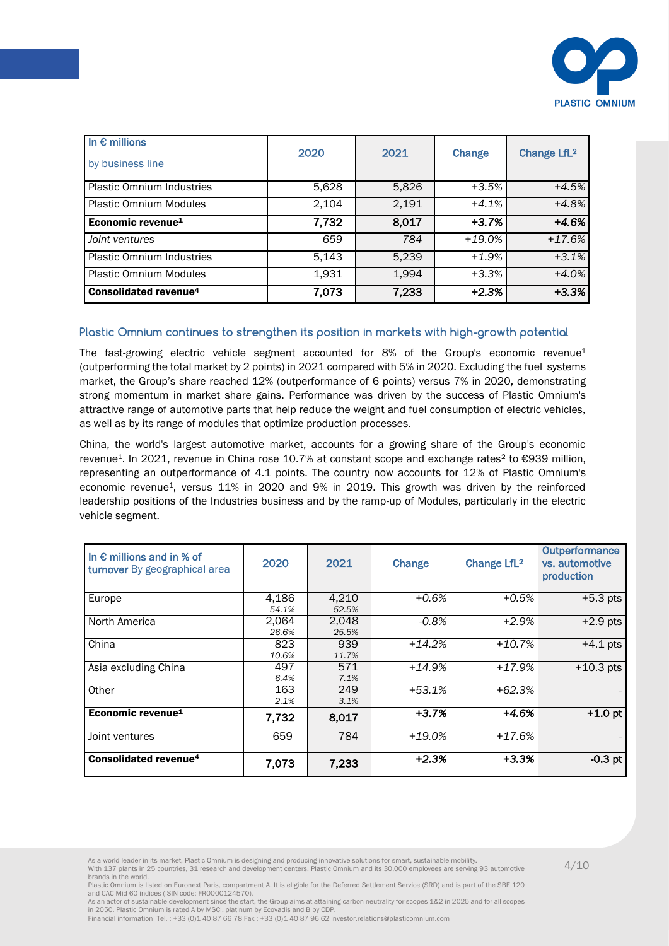

| In $\epsilon$ millions<br>by business line | 2020  | 2021  | Change    | Change LfL <sup>2</sup> |
|--------------------------------------------|-------|-------|-----------|-------------------------|
| <b>Plastic Omnium Industries</b>           | 5,628 | 5,826 | $+3.5%$   | $+4.5%$                 |
| <b>Plastic Omnium Modules</b>              | 2,104 | 2,191 | $+4.1%$   | $+4.8%$                 |
| Economic revenue <sup>1</sup>              | 7,732 | 8,017 | $+3.7%$   | $+4.6%$                 |
| Joint ventures                             | 659   | 784   | $+19.0\%$ | $+17.6%$                |
| <b>Plastic Omnium Industries</b>           | 5,143 | 5,239 | $+1.9%$   | $+3.1%$                 |
| <b>Plastic Omnium Modules</b>              | 1,931 | 1,994 | $+3.3%$   | $+4.0%$                 |
| <b>Consolidated revenue<sup>4</sup></b>    | 7,073 | 7,233 | $+2.3%$   | $+3.3%$                 |

## Plastic Omnium continues to strengthen its position in markets with high-growth potential

The fast-growing electric vehicle segment accounted for  $8\%$  of the Group's economic revenue<sup>1</sup> (outperforming the total market by 2 points) in 2021 compared with 5% in 2020. Excluding the fuel systems market, the Group's share reached 12% (outperformance of 6 points) versus 7% in 2020, demonstrating strong momentum in market share gains. Performance was driven by the success of Plastic Omnium's attractive range of automotive parts that help reduce the weight and fuel consumption of electric vehicles, as well as by its range of modules that optimize production processes.

revenue<sup>1</sup>. In 2021, revenue in China rose 10.7% at constant scope and exchange rates<sup>2</sup> to €939 million, China, the world's largest automotive market, accounts for a growing share of the Group's economic representing an outperformance of 4.1 points. The country now accounts for 12% of Plastic Omnium's economic revenue1, versus 11% in 2020 and 9% in 2019. This growth was driven by the reinforced leadership positions of the Industries business and by the ramp-up of Modules, particularly in the electric vehicle segment.

| In $\epsilon$ millions and in % of<br>turnover By geographical area | 2020           | 2021           | Change   | Change LfL <sup>2</sup> | Outperformance<br>vs. automotive<br>production |
|---------------------------------------------------------------------|----------------|----------------|----------|-------------------------|------------------------------------------------|
| Europe                                                              | 4,186<br>54.1% | 4,210<br>52.5% | $+0.6%$  | $+0.5%$                 | $+5.3$ pts                                     |
| North America                                                       | 2,064<br>26.6% | 2,048<br>25.5% | $-0.8%$  | $+2.9%$                 | $\overline{+}2.9$ pts                          |
| China                                                               | 823<br>10.6%   | 939<br>11.7%   | $+14.2%$ | $+10.7%$                | $+4.1$ pts                                     |
| Asia excluding China                                                | 497<br>6.4%    | 571<br>7.1%    | $+14.9%$ | $+17.9%$                | $+10.3$ pts                                    |
| Other                                                               | 163<br>2.1%    | 249<br>3.1%    | $+53.1%$ | $+62.3%$                |                                                |
| Economic revenue <sup>1</sup>                                       | 7,732          | 8,017          | $+3.7%$  | +4.6%                   | $+1.0$ pt                                      |
| Joint ventures                                                      | 659            | 784            | $+19.0%$ | $+17.6%$                |                                                |
| Consolidated revenue <sup>4</sup>                                   | 7,073          | 7,233          | $+2.3%$  | $+3.3%$                 | $-0.3$ pt                                      |

Plastic Omnium is listed on Euronext Paris, compartment A. It is eligible for the Deferred Settlement Service (SRD) and is part of the SBF 120 and CAC Mid 60 indices (ISIN code: FR0000124570). As an actor of sustainable development since the start, the Group aims at attaining carbon neutrality for scopes 1&2 in 2025 and for all scopes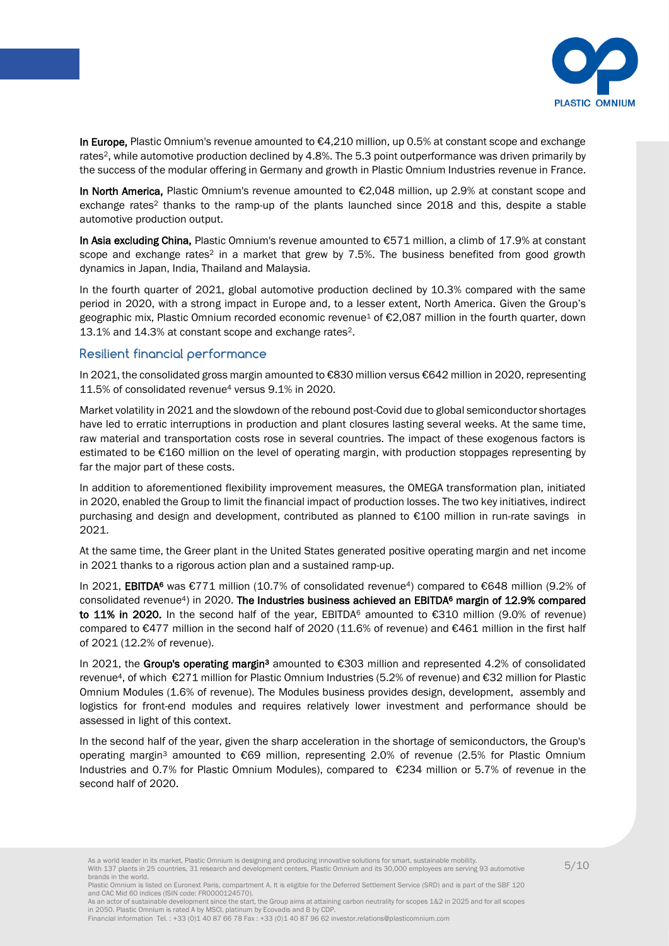

In Europe, Plastic Omnium's revenue amounted to €4,210 million, up 0.5% at constant scope and exchange rates<sup>2</sup>, while automotive production declined by 4.8%. The 5.3 point outperformance was driven primarily by the success of the modular offering in Germany and growth in Plastic Omnium Industries revenue in France.

In North America, Plastic Omnium's revenue amounted to €2,048 million, up 2.9% at constant scope and exchange rates<sup>2</sup> thanks to the ramp-up of the plants launched since 2018 and this, despite a stable automotive production output.

In Asia excluding China, Plastic Omnium's revenue amounted to €571 million, a climb of 17.9% at constant scope and exchange rates<sup>2</sup> in a market that grew by 7.5%. The business benefited from good growth dynamics in Japan, India, Thailand and Malaysia.

In the fourth quarter of 2021, global automotive production declined by 10.3% compared with the same period in 2020, with a strong impact in Europe and, to a lesser extent, North America. Given the Group's geographic mix, Plastic Omnium recorded economic revenue<sup>1</sup> of €2,087 million in the fourth quarter, down 13.1% and 14.3% at constant scope and exchange rates2.

## Resilient financial performance

In 2021, the consolidated gross margin amounted to €830 million versus €642 million in 2020, representing 11.5% of consolidated revenue<sup>4</sup> versus 9.1% in 2020.

estimated to be  $\epsilon$ 160 million on the level of operating margin, with production stoppages representing by Market volatility in 2021 and the slowdown of the rebound post-Covid due to global semiconductor shortages have led to erratic interruptions in production and plant closures lasting several weeks. At the same time, raw material and transportation costs rose in several countries. The impact of these exogenous factors is far the major part of these costs.

In addition to aforementioned flexibility improvement measures, the OMEGA transformation plan, initiated in 2020, enabled the Group to limit the financial impact of production losses. The two key initiatives, indirect purchasing and design and development, contributed as planned to €100 million in run-rate savings in 2021.

At the same time, the Greer plant in the United States generated positive operating margin and net income in 2021 thanks to a rigorous action plan and a sustained ramp-up.

In 2021, EBITDA<sup>6</sup> was €771 million (10.7% of consolidated revenue<sup>4</sup>) compared to €648 million (9.2% of consolidated revenue<sup>4</sup>) in 2020. The Industries business achieved an EBITDA<sup>6</sup> margin of 12.9% compared to 11% in 2020. In the second half of the year, EBITDA<sup>6</sup> amounted to  $\epsilon$ 310 million (9.0% of revenue) compared to €477 million in the second half of 2020 (11.6% of revenue) and €461 million in the first half of 2021 (12.2% of revenue).

In 2021, the Group's operating margin<sup>3</sup> amounted to €303 million and represented 4.2% of consolidated revenue4, of which €271 million for Plastic Omnium Industries (5.2% of revenue) and €32 million for Plastic Omnium Modules (1.6% of revenue). The Modules business provides design, development, assembly and logistics for front-end modules and requires relatively lower investment and performance should be assessed in light of this context.

In the second half of the year, given the sharp acceleration in the shortage of semiconductors, the Group's operating margin<sup>3</sup> amounted to €69 million, representing 2.0% of revenue (2.5% for Plastic Omnium Industries and 0.7% for Plastic Omnium Modules), compared to €234 million or 5.7% of revenue in the second half of 2020.

As a world leader in its market, Plastic Omnium is designing and producing innovative solutions for smart, sustainable mobility.<br>With 137 plants in 25 countries, 31 research and development centers, Plastic Omnium and its brands in the world.

Plastic Omnium is listed on Euronext Paris, compartment A. It is eligible for the Deferred Settlement Service (SRD) and is part of the SBF 120 and CAC Mid 60 indices (ISIN code: FR0000124570). As an actor of sustainable development since the start, the Group aims at attaining carbon neutrality for scopes 1&2 in 2025 and for all scopes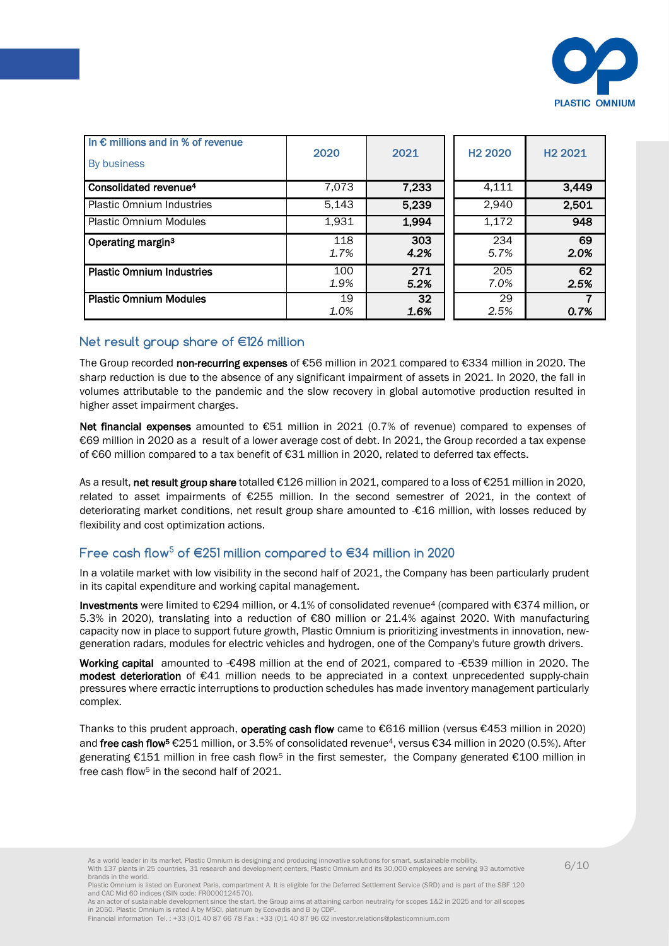

| In $\epsilon$ millions and in % of revenue<br>By business | 2020        | 2021        | H <sub>2</sub> 2020 | H <sub>2</sub> 2021 |
|-----------------------------------------------------------|-------------|-------------|---------------------|---------------------|
| Consolidated revenue <sup>4</sup>                         | 7,073       | 7,233       | 4,111               | 3,449               |
| <b>Plastic Omnium Industries</b>                          | 5,143       | 5,239       | 2,940               | 2,501               |
| <b>Plastic Omnium Modules</b>                             | 1,931       | 1,994       | 1,172               | 948                 |
| Operating margin <sup>3</sup>                             | 118<br>1.7% | 303<br>4.2% | 234<br>5.7%         | 69<br>2.0%          |
| <b>Plastic Omnium Industries</b>                          | 100<br>1.9% | 271<br>5.2% | 205<br>7.0%         | 62<br>2.5%          |
| <b>Plastic Omnium Modules</b>                             | 19<br>1.0%  | 32<br>1.6%  | 29<br>2.5%          | 0.7%                |

## Net result group share of €126 million

The Group recorded non-recurring expenses of €56 million in 2021 compared to €334 million in 2020. The sharp reduction is due to the absence of any significant impairment of assets in 2021. In 2020, the fall in volumes attributable to the pandemic and the slow recovery in global automotive production resulted in higher asset impairment charges.

of €60 million compared to a tax benefit of €31 million in 2020, related to deferred tax effects. Net financial expenses amounted to €51 million in 2021 (0.7% of revenue) compared to expenses of €69 million in 2020 as a result of a lower average cost of debt. In 2021, the Group recorded a tax expense

As a result, net result group share totalled €126 million in 2021, compared to a loss of €251 million in 2020, related to asset impairments of €255 million. In the second semestrer of 2021, in the context of deteriorating market conditions, net result group share amounted to -€16 million, with losses reduced by flexibility and cost optimization actions.

## Free cash flow<sup>5</sup> of €251 million compared to €34 million in 2020

In a volatile market with low visibility in the second half of 2021, the Company has been particularly prudent in its capital expenditure and working capital management.

Investments were limited to €294 million, or 4.1% of consolidated revenue<sup>4</sup> (compared with €374 million, or 5.3% in 2020), translating into a reduction of €80 million or 21.4% against 2020. With manufacturing capacity now in place to support future growth, Plastic Omnium is prioritizing investments in innovation, newgeneration radars, modules for electric vehicles and hydrogen, one of the Company's future growth drivers.

Working capital amounted to -€498 million at the end of 2021, compared to -€539 million in 2020. The modest deterioration of €41 million needs to be appreciated in a context unprecedented supply-chain pressures where erractic interruptions to production schedules has made inventory management particularly complex.

Thanks to this prudent approach, operating cash flow came to €616 million (versus €453 million in 2020) and free cash flow<sup>5</sup> €251 million, or 3.5% of consolidated revenue<sup>4</sup>, versus €34 million in 2020 (0.5%). After generating €151 million in free cash flow<sup>5</sup> in the first semester, the Company generated €100 million in free cash flow<sup>5</sup> in the second half of 2021

As a world leader in its market, Plastic Omnium is designing and producing innovative solutions for smart, sustainable mobility.<br>With 137 plants in 25 countries, 31 research and development centers, Plastic Omnium and its brands in the world.

Plastic Omnium is listed on Euronext Paris, compartment A. It is eligible for the Deferred Settlement Service (SRD) and is part of the SBF 120 and CAC Mid 60 indices (ISIN code: FR0000124570). As an actor of sustainable development since the start, the Group aims at attaining carbon neutrality for scopes 1&2 in 2025 and for all scopes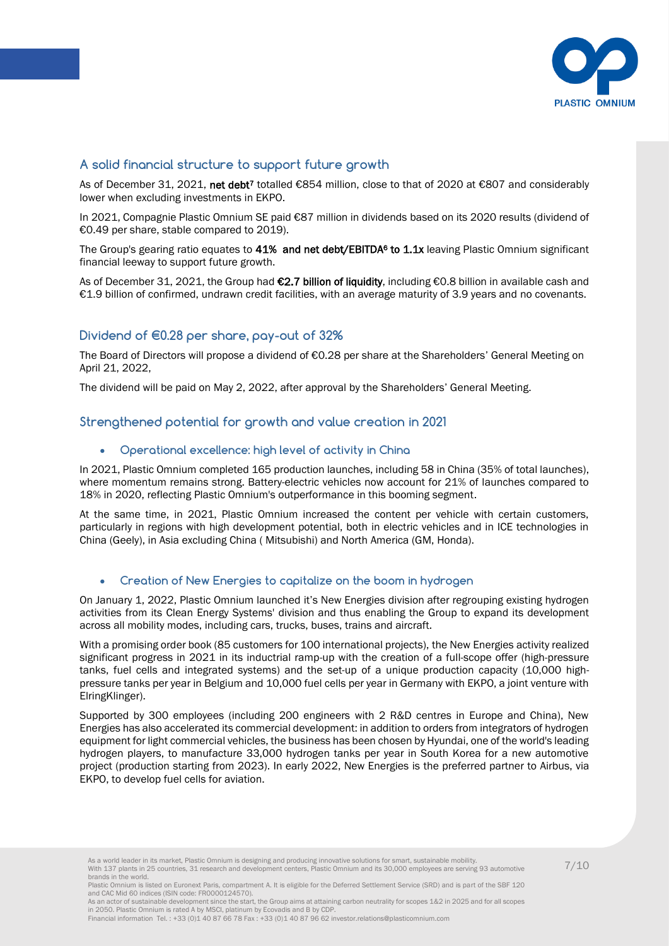

## A solid financial structure to support future growth

As of December 31, 2021, net debt<sup>7</sup> totalled €854 million, close to that of 2020 at €807 and considerably lower when excluding investments in EKPO.

In 2021, Compagnie Plastic Omnium SE paid €87 million in dividends based on its 2020 results (dividend of €0.49 per share, stable compared to 2019).

The Group's gearing ratio equates to 41% and net debt/EBITDA<sup>6</sup> to 1.1x leaving Plastic Omnium significant financial leeway to support future growth.

As of December 31, 2021, the Group had €2.7 billion of liquidity, including €0.8 billion in available cash and €1.9 billion of confirmed, undrawn credit facilities, with an average maturity of 3.9 years and no covenants.

## Dividend of €0.28 per share, pay-out of 32%

The Board of Directors will propose a dividend of €0.28 per share at the Shareholders' General Meeting on April 21, 2022,

The dividend will be paid on May 2, 2022, after approval by the Shareholders' General Meeting.

## Strengthened potential for growth and value creation in 2021

## $\bullet$   $\;\;$  Operational excellence: high level of activity in China

In 2021, Plastic Omnium completed 165 production launches, including 58 in China (35% of total launches), where momentum remains strong. Battery-electric vehicles now account for 21% of launches compared to 18% in 2020, reflecting Plastic Omnium's outperformance in this booming segment.

At the same time, in 2021, Plastic Omnium increased the content per vehicle with certain customers, particularly in regions with high development potential, both in electric vehicles and in ICE technologies in China (Geely), in Asia excluding China ( Mitsubishi) and North America (GM, Honda).

#### Creation of New Energies to capitalize on the boom in hydrogen

On January 1, 2022, Plastic Omnium launched it's New Energies division after regrouping existing hydrogen activities from its Clean Energy Systems' division and thus enabling the Group to expand its development across all mobility modes, including cars, trucks, buses, trains and aircraft.

With a promising order book (85 customers for 100 international projects), the New Energies activity realized significant progress in 2021 in its inductrial ramp-up with the creation of a full-scope offer (high-pressure tanks, fuel cells and integrated systems) and the set-up of a unique production capacity (10,000 highpressure tanks per year in Belgium and 10,000 fuel cells per year in Germany with EKPO, a joint venture with ElringKlinger).

Supported by 300 employees (including 200 engineers with 2 R&D centres in Europe and China), New Energies has also accelerated its commercial development: in addition to orders from integrators of hydrogen equipment for light commercial vehicles, the business has been chosen by Hyundai, one of the world's leading hydrogen players, to manufacture 33,000 hydrogen tanks per year in South Korea for a new automotive project (production starting from 2023). In early 2022, New Energies is the preferred partner to Airbus, via EKPO, to develop fuel cells for aviation.

As a world leader in its market, Plastic Omnium is designing and producing innovative solutions for smart, sustainable mobility.<br>With 137 plants in 25 countries, 31 research and development centers, Plastic Omnium and its brands in the world.

Plastic Omnium is listed on Euronext Paris, compartment A. It is eligible for the Deferred Settlement Service (SRD) and is part of the SBF 120 and CAC Mid 60 indices (ISIN code: FR0000124570). As an actor of sustainable development since the start, the Group aims at attaining carbon neutrality for scopes 1&2 in 2025 and for all scopes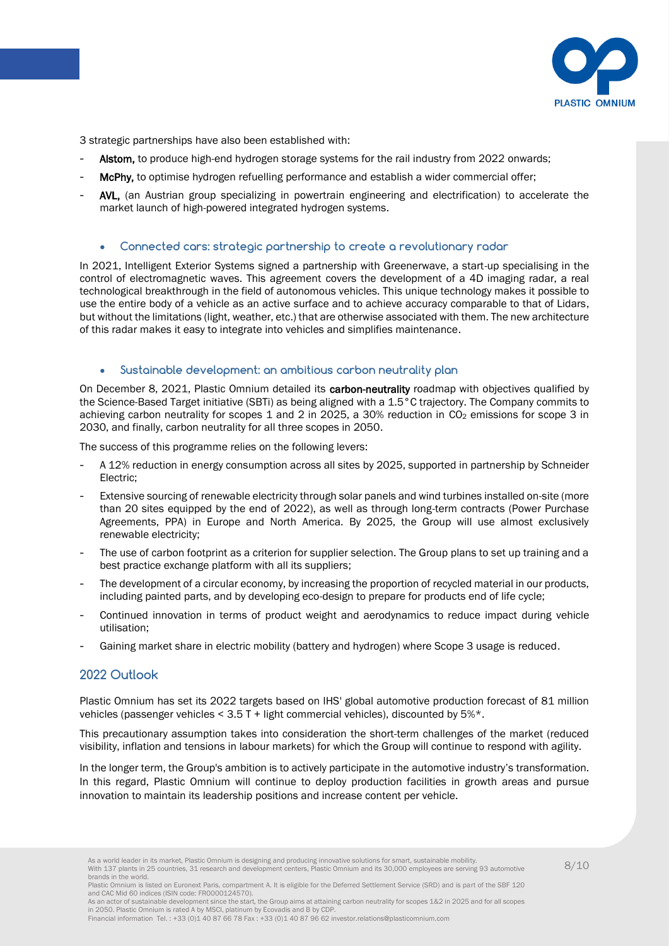

3 strategic partnerships have also been established with:

- Alstom, to produce high-end hydrogen storage systems for the rail industry from 2022 onwards;
- McPhy, to optimise hydrogen refuelling performance and establish a wider commercial offer;
- AVL, (an Austrian group specializing in powertrain engineering and electrification) to accelerate the market launch of high-powered integrated hydrogen systems.

#### Connected cars: strategic partnership to create a revolutionary radar

In 2021, Intelligent Exterior Systems signed a partnership with Greenerwave, a start-up specialising in the control of electromagnetic waves. This agreement covers the development of a 4D imaging radar, a real technological breakthrough in the field of autonomous vehicles. This unique technology makes it possible to use the entire body of a vehicle as an active surface and to achieve accuracy comparable to that of Lidars, but without the limitations (light, weather, etc.) that are otherwise associated with them. The new architecture of this radar makes it easy to integrate into vehicles and simplifies maintenance.

#### Sustainable development: an ambitious carbon neutrality plan

On December 8, 2021, Plastic Omnium detailed its carbon-neutrality roadmap with objectives qualified by the Science-Based Target initiative (SBTi) as being aligned with a 1.5°C trajectory. The Company commits to achieving carbon neutrality for scopes 1 and 2 in 2025, a 30% reduction in CO<sub>2</sub> emissions for scope 3 in 2030, and finally, carbon neutrality for all three scopes in 2050.

The success of this programme relies on the following levers:

- A 12% reduction in energy consumption across all sites by 2025, supported in partnership by Schneider Electric;
- Extensive sourcing of renewable electricity through solar panels and wind turbines installed on-site (more than 20 sites equipped by the end of 2022), as well as through long-term contracts (Power Purchase Agreements, PPA) in Europe and North America. By 2025, the Group will use almost exclusively renewable electricity;
- The use of carbon footprint as a criterion for supplier selection. The Group plans to set up training and a best practice exchange platform with all its suppliers;
- The development of a circular economy, by increasing the proportion of recycled material in our products, including painted parts, and by developing eco-design to prepare for products end of life cycle;
- Continued innovation in terms of product weight and aerodynamics to reduce impact during vehicle utilisation;
- Gaining market share in electric mobility (battery and hydrogen) where Scope 3 usage is reduced.

#### 2022 Outlook

Plastic Omnium has set its 2022 targets based on IHS' global automotive production forecast of 81 million vehicles (passenger vehicles < 3.5 T + light commercial vehicles), discounted by 5%\*.

This precautionary assumption takes into consideration the short-term challenges of the market (reduced visibility, inflation and tensions in labour markets) for which the Group will continue to respond with agility.

In the longer term, the Group's ambition is to actively participate in the automotive industry's transformation. In this regard, Plastic Omnium will continue to deploy production facilities in growth areas and pursue innovation to maintain its leadership positions and increase content per vehicle.

Plastic Omnium is listed on Euronext Paris, compartment A. It is eligible for the Deferred Settlement Service (SRD) and is part of the SBF 120 and CAC Mid 60 indices (ISIN code: FR0000124570). As an actor of sustainable development since the start, the Group aims at attaining carbon neutrality for scopes 1&2 in 2025 and for all scopes

in 2050. Plastic Omnium is rated A by MSCI, platinum by Ecovadis and B by CDP. Financial information Tel. : +33 (0)1 40 87 66 78 Fax : +33 (0)1 40 87 96 62 investor.relations@plasticomnium.com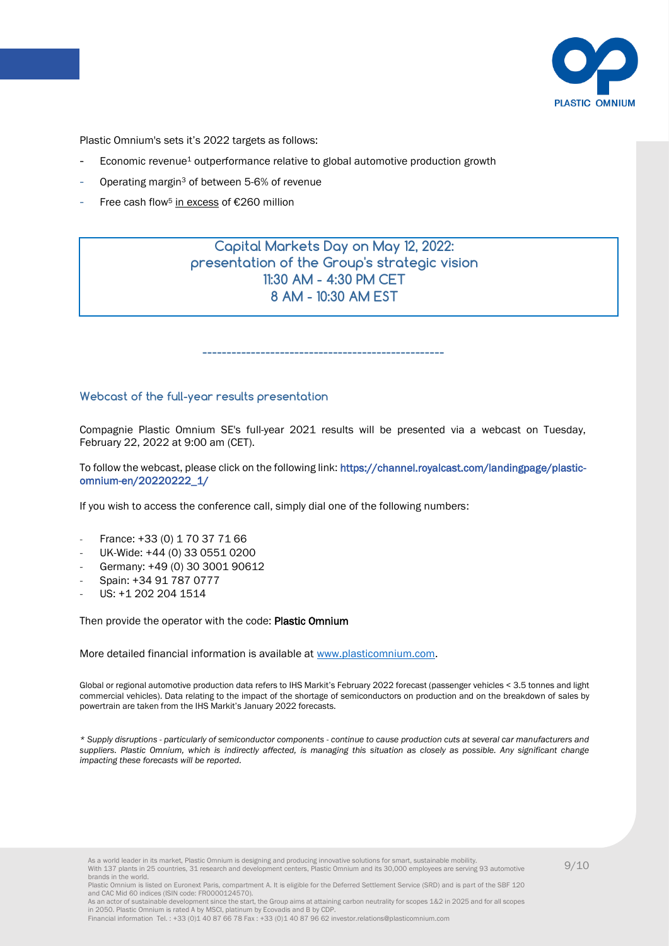

Plastic Omnium's sets it's 2022 targets as follows:

- Economic revenue<sup>1</sup> outperformance relative to global automotive production growth
- Operating margin<sup>3</sup> of between 5-6% of revenue
- Free cash flow<sup>5</sup> in excess of €260 million

Capital Markets Day on May 12, 2022: presentation of the Group's strategic vision 11:30 AM - 4:30 PM CET 8 AM - 10:30 AM EST

Webcast of the full-year results presentation

Compagnie Plastic Omnium SE's full-year 2021 results will be presented via a webcast on Tuesday, February 22, 2022 at 9:00 am (CET).

--------------------------------------------------

To follow the webcast, please click on the following link[: https://channel.royalcast.com/landingpage/plastic](https://channel.royalcast.com/landingpage/plastic-omnium-en/20220222_1/)[omnium-en/20220222\\_1/](https://channel.royalcast.com/landingpage/plastic-omnium-en/20220222_1/) 

If you wish to access the conference call, simply dial one of the following numbers:

- France: +33 (0) 1 70 37 71 66
- UK-Wide: +44 (0) 33 0551 0200
- Germany: +49 (0) 30 3001 90612
- Spain: +34 91 787 0777
- US: +1 202 204 1514

Then provide the operator with the code: Plastic Omnium

More detailed financial information is available at [www.plasticomnium.com.](http://www.plasticomnium.com/)

Global or regional automotive production data refers to IHS Markit's February 2022 forecast (passenger vehicles < 3.5 tonnes and light commercial vehicles). Data relating to the impact of the shortage of semiconductors on production and on the breakdown of sales by powertrain are taken from the IHS Markit's January 2022 forecasts.

*\* Supply disruptions - particularly of semiconductor components - continue to cause production cuts at several car manufacturers and suppliers. Plastic Omnium, which is indirectly affected, is managing this situation as closely as possible. Any significant change impacting these forecasts will be reported.*

As a world leader in its market, Plastic Omnium is designing and producing innovative solutions for smart, sustainable mobility.<br>With 137 plants in 25 countries, 31 research and development centers, Plastic Omnium and its brands in the world.

As an actor of sustainable development since the start, the Group aims at attaining carbon neutrality for scopes 1&2 in 2025 and for all scopes in 2050. Plastic Omnium is rated A by MSCI, platinum by Ecovadis and B by CDP. Financial information Tel. : +33 (0)1 40 87 66 78 Fax : +33 (0)1 40 87 96 62 investor.relations@plasticomnium.com

Plastic Omnium is listed on Euronext Paris, compartment A. It is eligible for the Deferred Settlement Service (SRD) and is part of the SBF 120 and CAC Mid 60 indices (ISIN code: FR0000124570).